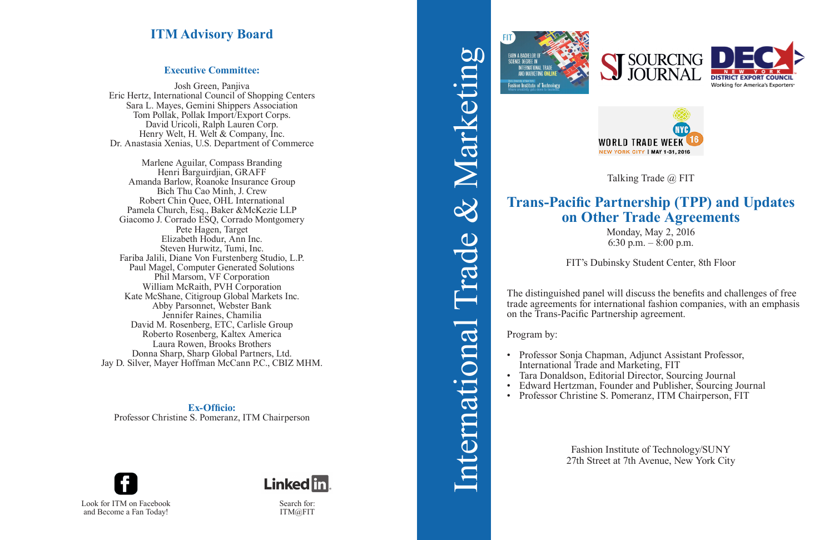Monday, May 2, 2016 6:30 p.m.  $-$  8:00 p.m.

# **Trans-Pacific Partnership (TPP) and Updates on Other Trade Agreements**

FIT's Dubinsky Student Center, 8th Floor

• Professor Sonja Chapman, Adjunct Assistant Professor, International Trade and Marketing, FIT<br>Tara Donaldson, Editorial Director, Sourcing Journal • Edward Hertzman, Founder and Publisher, Sourcing Journal<br>• Professor Christine S. Pomeranz, ITM Chairperson, FIT

The distinguished panel will discuss the benefits and challenges of free trade agreements for international fashion companies, with an emphasis on the Trans-Pacific Partnership agreement.

Program by:

- 
- 
- 
- 

Fashion Institute of Technology/SUNY 27th Street at 7th Avenue, New York City











Talking Trade @ FIT





Search for: ITM@FIT

### **Executive Committee:**

Josh Green, Panjiva Eric Hertz, International Council of Shopping Centers Sara L. Mayes, Gemini Shippers Association Tom Pollak, Pollak Import/Export Corps. David Uricoli, Ralph Lauren Corp. Henry Welt, H. Welt & Company, Inc. Dr. Anastasia Xenias, U.S. Department of Commerce

Marlene Aguilar, Compass Branding Henri Barguirdjian, GRAFF Amanda Barlow, Roanoke Insurance Group Bich Thu Cao Minh, J. Crew Robert Chin Quee, OHL International Pamela Church, Esq., Baker &McKezie LLP Giacomo J. Corrado ESQ, Corrado Montgomery Pete Hagen, Target Elizabeth Hodur, Ann Inc. Steven Hurwitz, Tumi, Inc. Fariba Jalili, Diane Von Furstenberg Studio, L.P. Paul Magel, Computer Generated Solutions Phil Marsom, VF Corporation William McRaith, PVH Corporation Kate McShane, Citigroup Global Markets Inc. Abby Parsonnet, Webster Bank Jennifer Raines, Chamilia David M. Rosenberg, ETC, Carlisle Group Roberto Rosenberg, Kaltex America Laura Rowen, Brooks Brothers Donna Sharp, Sharp Global Partners, Ltd. Jay D. Silver, Mayer Hoffman McCann P.C., CBIZ MHM.

**Ex-Officio:**  Professor Christine S. Pomeranz, ITM Chairperson

# **ITM Advisory Board**